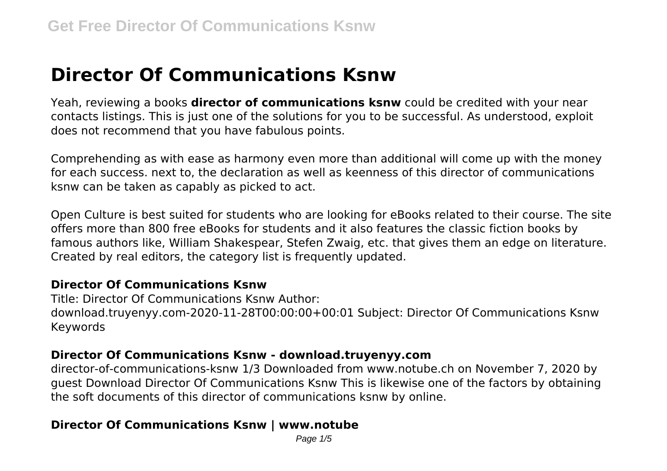# **Director Of Communications Ksnw**

Yeah, reviewing a books **director of communications ksnw** could be credited with your near contacts listings. This is just one of the solutions for you to be successful. As understood, exploit does not recommend that you have fabulous points.

Comprehending as with ease as harmony even more than additional will come up with the money for each success. next to, the declaration as well as keenness of this director of communications ksnw can be taken as capably as picked to act.

Open Culture is best suited for students who are looking for eBooks related to their course. The site offers more than 800 free eBooks for students and it also features the classic fiction books by famous authors like, William Shakespear, Stefen Zwaig, etc. that gives them an edge on literature. Created by real editors, the category list is frequently updated.

#### **Director Of Communications Ksnw**

Title: Director Of Communications Ksnw Author: download.truyenyy.com-2020-11-28T00:00:00+00:01 Subject: Director Of Communications Ksnw Keywords

#### **Director Of Communications Ksnw - download.truyenyy.com**

director-of-communications-ksnw 1/3 Downloaded from www.notube.ch on November 7, 2020 by guest Download Director Of Communications Ksnw This is likewise one of the factors by obtaining the soft documents of this director of communications ksnw by online.

## **Director Of Communications Ksnw | www.notube**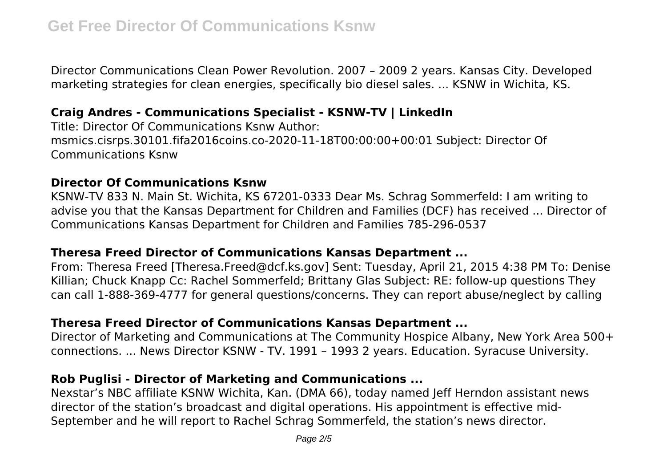Director Communications Clean Power Revolution. 2007 – 2009 2 years. Kansas City. Developed marketing strategies for clean energies, specifically bio diesel sales. ... KSNW in Wichita, KS.

# **Craig Andres - Communications Specialist - KSNW-TV | LinkedIn**

Title: Director Of Communications Ksnw Author: msmics.cisrps.30101.fifa2016coins.co-2020-11-18T00:00:00+00:01 Subject: Director Of Communications Ksnw

## **Director Of Communications Ksnw**

KSNW-TV 833 N. Main St. Wichita, KS 67201-0333 Dear Ms. Schrag Sommerfeld: I am writing to advise you that the Kansas Department for Children and Families (DCF) has received ... Director of Communications Kansas Department for Children and Families 785-296-0537

#### **Theresa Freed Director of Communications Kansas Department ...**

From: Theresa Freed [Theresa.Freed@dcf.ks.gov] Sent: Tuesday, April 21, 2015 4:38 PM To: Denise Killian; Chuck Knapp Cc: Rachel Sommerfeld; Brittany Glas Subject: RE: follow-up questions They can call 1‐888‐369‐4777 for general questions/concerns. They can report abuse/neglect by calling

# **Theresa Freed Director of Communications Kansas Department ...**

Director of Marketing and Communications at The Community Hospice Albany, New York Area 500+ connections. ... News Director KSNW - TV. 1991 – 1993 2 years. Education. Syracuse University.

## **Rob Puglisi - Director of Marketing and Communications ...**

Nexstar's NBC affiliate KSNW Wichita, Kan. (DMA 66), today named Jeff Herndon assistant news director of the station's broadcast and digital operations. His appointment is effective mid-September and he will report to Rachel Schrag Sommerfeld, the station's news director.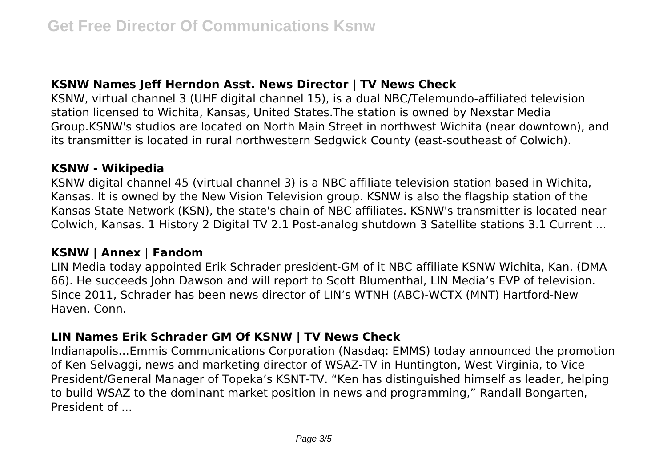# **KSNW Names Jeff Herndon Asst. News Director | TV News Check**

KSNW, virtual channel 3 (UHF digital channel 15), is a dual NBC/Telemundo-affiliated television station licensed to Wichita, Kansas, United States.The station is owned by Nexstar Media Group.KSNW's studios are located on North Main Street in northwest Wichita (near downtown), and its transmitter is located in rural northwestern Sedgwick County (east-southeast of Colwich).

## **KSNW - Wikipedia**

KSNW digital channel 45 (virtual channel 3) is a NBC affiliate television station based in Wichita, Kansas. It is owned by the New Vision Television group. KSNW is also the flagship station of the Kansas State Network (KSN), the state's chain of NBC affiliates. KSNW's transmitter is located near Colwich, Kansas. 1 History 2 Digital TV 2.1 Post-analog shutdown 3 Satellite stations 3.1 Current ...

## **KSNW | Annex | Fandom**

LIN Media today appointed Erik Schrader president-GM of it NBC affiliate KSNW Wichita, Kan. (DMA 66). He succeeds John Dawson and will report to Scott Blumenthal, LIN Media's EVP of television. Since 2011, Schrader has been news director of LIN's WTNH (ABC)-WCTX (MNT) Hartford-New Haven, Conn.

# **LIN Names Erik Schrader GM Of KSNW | TV News Check**

Indianapolis…Emmis Communications Corporation (Nasdaq: EMMS) today announced the promotion of Ken Selvaggi, news and marketing director of WSAZ-TV in Huntington, West Virginia, to Vice President/General Manager of Topeka's KSNT-TV. "Ken has distinguished himself as leader, helping to build WSAZ to the dominant market position in news and programming," Randall Bongarten, President of ...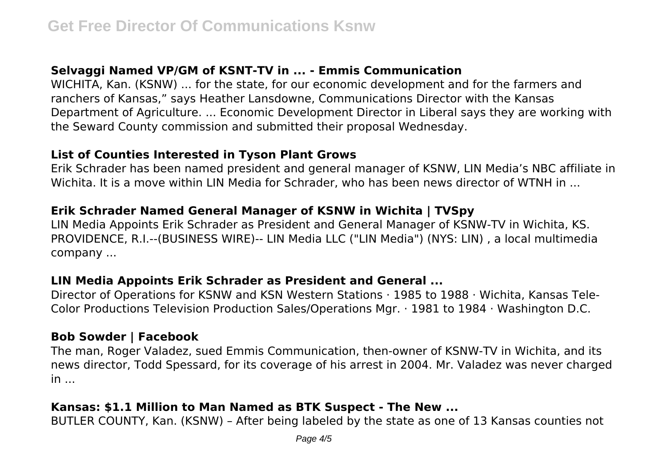# **Selvaggi Named VP/GM of KSNT-TV in ... - Emmis Communication**

WICHITA, Kan. (KSNW) ... for the state, for our economic development and for the farmers and ranchers of Kansas," says Heather Lansdowne, Communications Director with the Kansas Department of Agriculture. ... Economic Development Director in Liberal says they are working with the Seward County commission and submitted their proposal Wednesday.

#### **List of Counties Interested in Tyson Plant Grows**

Erik Schrader has been named president and general manager of KSNW, LIN Media's NBC affiliate in Wichita. It is a move within LIN Media for Schrader, who has been news director of WTNH in ...

# **Erik Schrader Named General Manager of KSNW in Wichita | TVSpy**

LIN Media Appoints Erik Schrader as President and General Manager of KSNW-TV in Wichita, KS. PROVIDENCE, R.I.--(BUSINESS WIRE)-- LIN Media LLC ("LIN Media") (NYS: LIN) , a local multimedia company ...

## **LIN Media Appoints Erik Schrader as President and General ...**

Director of Operations for KSNW and KSN Western Stations · 1985 to 1988 · Wichita, Kansas Tele-Color Productions Television Production Sales/Operations Mgr. · 1981 to 1984 · Washington D.C.

## **Bob Sowder | Facebook**

The man, Roger Valadez, sued Emmis Communication, then-owner of KSNW-TV in Wichita, and its news director, Todd Spessard, for its coverage of his arrest in 2004. Mr. Valadez was never charged  $in$ ...

# **Kansas: \$1.1 Million to Man Named as BTK Suspect - The New ...**

BUTLER COUNTY, Kan. (KSNW) – After being labeled by the state as one of 13 Kansas counties not